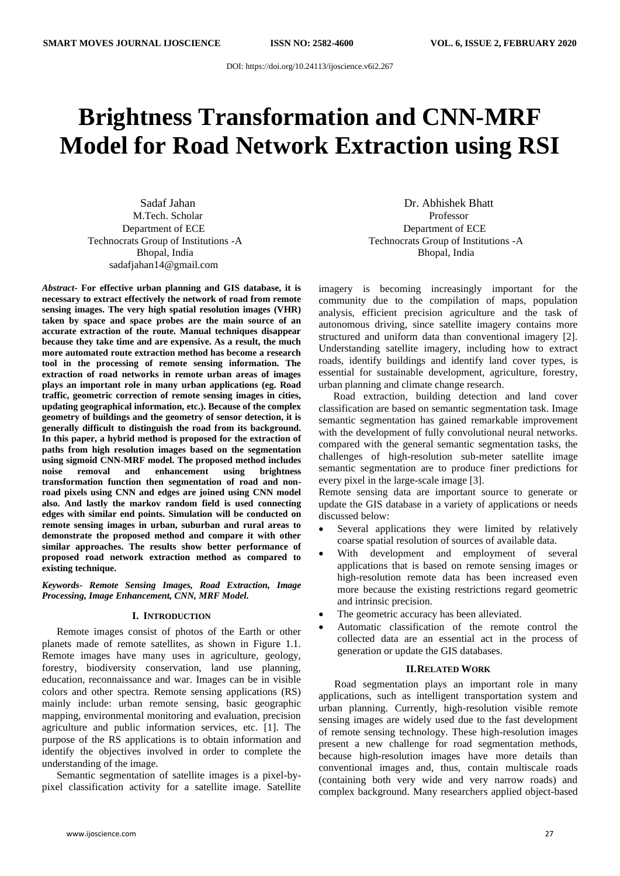DOI: <https://doi.org/10.24113/ijoscience.v6i2.267>

# **Brightness Transformation and CNN-MRF Model for Road Network Extraction using RSI**

Sadaf Jahan Dr. Abhishek Bhatt M.Tech. Scholar **Professor** Professor Department of ECE Technocrats Group of Institutions -A Bhopal, India sadafjahan14@gmail.com

*Abstract***- For effective urban planning and GIS database, it is necessary to extract effectively the network of road from remote sensing images. The very high spatial resolution images (VHR) taken by space and space probes are the main source of an accurate extraction of the route. Manual techniques disappear because they take time and are expensive. As a result, the much more automated route extraction method has become a research tool in the processing of remote sensing information. The extraction of road networks in remote urban areas of images plays an important role in many urban applications (eg. Road traffic, geometric correction of remote sensing images in cities, updating geographical information, etc.). Because of the complex geometry of buildings and the geometry of sensor detection, it is generally difficult to distinguish the road from its background. In this paper, a hybrid method is proposed for the extraction of paths from high resolution images based on the segmentation using sigmoid CNN-MRF model. The proposed method includes noise removal and enhancement using brightness transformation function then segmentation of road and nonroad pixels using CNN and edges are joined using CNN model also. And lastly the markov random field is used connecting edges with similar end points. Simulation will be conducted on remote sensing images in urban, suburban and rural areas to demonstrate the proposed method and compare it with other similar approaches. The results show better performance of proposed road network extraction method as compared to existing technique.**

*Keywords- Remote Sensing Images, Road Extraction, Image Processing, Image Enhancement, CNN, MRF Model.*

#### **I. INTRODUCTION**

Remote images consist of photos of the Earth or other planets made of remote satellites, as shown in Figure 1.1. Remote images have many uses in agriculture, geology, forestry, biodiversity conservation, land use planning, education, reconnaissance and war. Images can be in visible colors and other spectra. Remote sensing applications (RS) mainly include: urban remote sensing, basic geographic mapping, environmental monitoring and evaluation, precision agriculture and public information services, etc. [1]. The purpose of the RS applications is to obtain information and identify the objectives involved in order to complete the understanding of the image.

Semantic segmentation of satellite images is a pixel-bypixel classification activity for a satellite image. Satellite

Department of ECE Technocrats Group of Institutions -A Bhopal, India

imagery is becoming increasingly important for the community due to the compilation of maps, population analysis, efficient precision agriculture and the task of autonomous driving, since satellite imagery contains more structured and uniform data than conventional imagery [2]. Understanding satellite imagery, including how to extract roads, identify buildings and identify land cover types, is essential for sustainable development, agriculture, forestry, urban planning and climate change research.

Road extraction, building detection and land cover classification are based on semantic segmentation task. Image semantic segmentation has gained remarkable improvement with the development of fully convolutional neural networks. compared with the general semantic segmentation tasks, the challenges of high-resolution sub-meter satellite image semantic segmentation are to produce finer predictions for every pixel in the large-scale image [3].

Remote sensing data are important source to generate or update the GIS database in a variety of applications or needs discussed below:

- Several applications they were limited by relatively coarse spatial resolution of sources of available data.
- With development and employment of several applications that is based on remote sensing images or high-resolution remote data has been increased even more because the existing restrictions regard geometric and intrinsic precision.
- The geometric accuracy has been alleviated.
- Automatic classification of the remote control the collected data are an essential act in the process of generation or update the GIS databases.

## **II.RELATED WORK**

 Road segmentation plays an important role in many applications, such as intelligent transportation system and urban planning. Currently, high-resolution visible remote sensing images are widely used due to the fast development of remote sensing technology. These high-resolution images present a new challenge for road segmentation methods, because high-resolution images have more details than conventional images and, thus, contain multiscale roads (containing both very wide and very narrow roads) and complex background. Many researchers applied object-based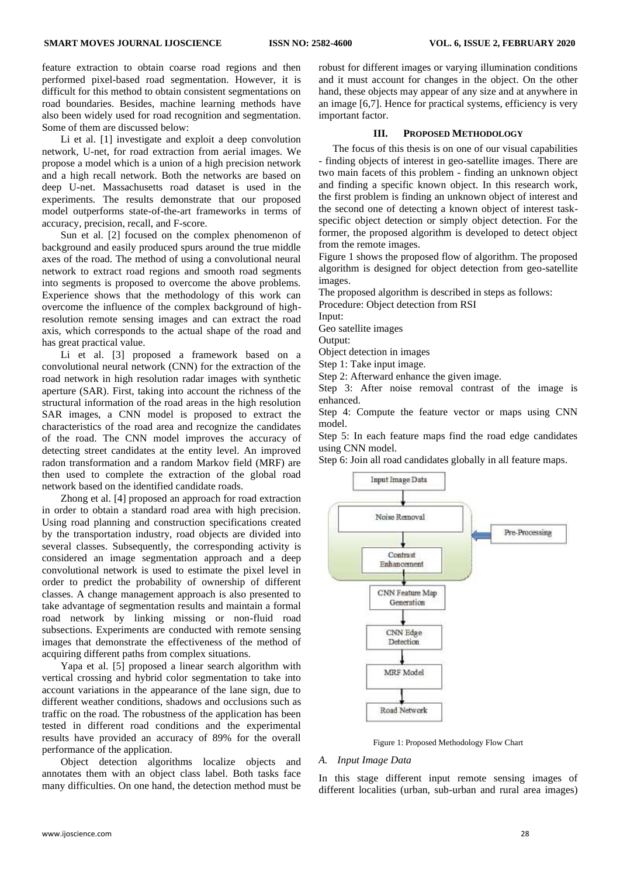feature extraction to obtain coarse road regions and then performed pixel-based road segmentation. However, it is difficult for this method to obtain consistent segmentations on road boundaries. Besides, machine learning methods have also been widely used for road recognition and segmentation. Some of them are discussed below:

Li et al. [1] investigate and exploit a deep convolution network, U-net, for road extraction from aerial images. We propose a model which is a union of a high precision network and a high recall network. Both the networks are based on deep U-net. Massachusetts road dataset is used in the experiments. The results demonstrate that our proposed model outperforms state-of-the-art frameworks in terms of accuracy, precision, recall, and F-score.

Sun et al. [2] focused on the complex phenomenon of background and easily produced spurs around the true middle axes of the road. The method of using a convolutional neural network to extract road regions and smooth road segments into segments is proposed to overcome the above problems. Experience shows that the methodology of this work can overcome the influence of the complex background of highresolution remote sensing images and can extract the road axis, which corresponds to the actual shape of the road and has great practical value.

Li et al. [3] proposed a framework based on a convolutional neural network (CNN) for the extraction of the road network in high resolution radar images with synthetic aperture (SAR). First, taking into account the richness of the structural information of the road areas in the high resolution SAR images, a CNN model is proposed to extract the characteristics of the road area and recognize the candidates of the road. The CNN model improves the accuracy of detecting street candidates at the entity level. An improved radon transformation and a random Markov field (MRF) are then used to complete the extraction of the global road network based on the identified candidate roads.

Zhong et al. [4] proposed an approach for road extraction in order to obtain a standard road area with high precision. Using road planning and construction specifications created by the transportation industry, road objects are divided into several classes. Subsequently, the corresponding activity is considered an image segmentation approach and a deep convolutional network is used to estimate the pixel level in order to predict the probability of ownership of different classes. A change management approach is also presented to take advantage of segmentation results and maintain a formal road network by linking missing or non-fluid road subsections. Experiments are conducted with remote sensing images that demonstrate the effectiveness of the method of acquiring different paths from complex situations.

Yapa et al. [5] proposed a linear search algorithm with vertical crossing and hybrid color segmentation to take into account variations in the appearance of the lane sign, due to different weather conditions, shadows and occlusions such as traffic on the road. The robustness of the application has been tested in different road conditions and the experimental results have provided an accuracy of 89% for the overall performance of the application.

Object detection algorithms localize objects and annotates them with an object class label. Both tasks face many difficulties. On one hand, the detection method must be robust for different images or varying illumination conditions and it must account for changes in the object. On the other hand, these objects may appear of any size and at anywhere in an image [6,7]. Hence for practical systems, efficiency is very important factor.

#### **III. PROPOSED METHODOLOGY**

The focus of this thesis is on one of our visual capabilities - finding objects of interest in geo-satellite images. There are two main facets of this problem - finding an unknown object and finding a specific known object. In this research work, the first problem is finding an unknown object of interest and the second one of detecting a known object of interest taskspecific object detection or simply object detection. For the former, the proposed algorithm is developed to detect object from the remote images.

Figure 1 shows the proposed flow of algorithm. The proposed algorithm is designed for object detection from geo-satellite images.

The proposed algorithm is described in steps as follows:

Procedure: Object detection from RSI

Input:

Geo satellite images

Output:

Object detection in images

Step 1: Take input image.

Step 2: Afterward enhance the given image.

Step 3: After noise removal contrast of the image is enhanced.

Step 4: Compute the feature vector or maps using CNN model.

Step 5: In each feature maps find the road edge candidates using CNN model.

Step 6: Join all road candidates globally in all feature maps.



Figure 1: Proposed Methodology Flow Chart

#### *A. Input Image Data*

In this stage different input remote sensing images of different localities (urban, sub-urban and rural area images)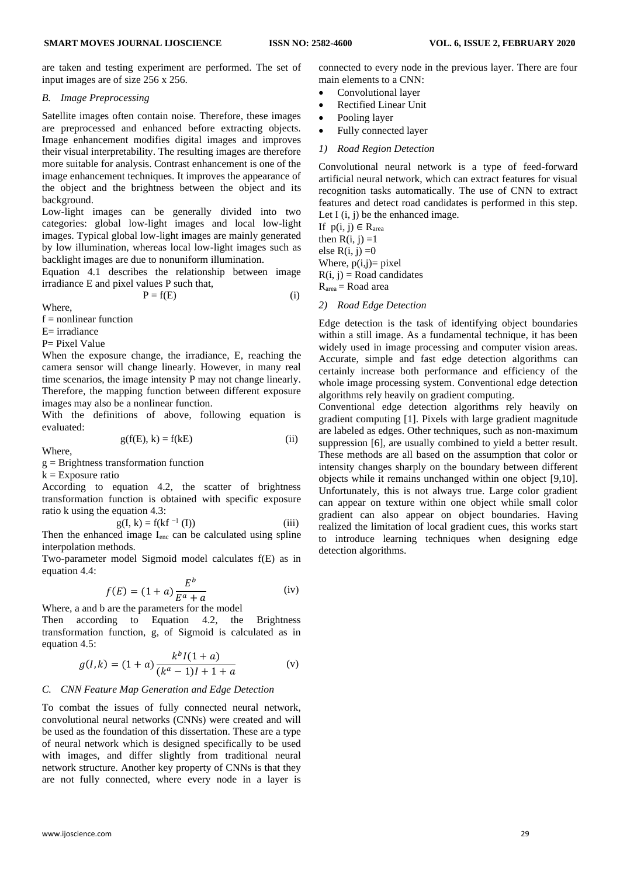are taken and testing experiment are performed. The set of input images are of size 256 x 256.

## *B. Image Preprocessing*

Satellite images often contain noise. Therefore, these images are preprocessed and enhanced before extracting objects. Image enhancement modifies digital images and improves their visual interpretability. The resulting images are therefore more suitable for analysis. Contrast enhancement is one of the image enhancement techniques. It improves the appearance of the object and the brightness between the object and its background.

Low-light images can be generally divided into two categories: global low-light images and local low-light images. Typical global low-light images are mainly generated by low illumination, whereas local low-light images such as backlight images are due to nonuniform illumination.

Equation 4.1 describes the relationship between image irradiance E and pixel values P such that,

 $P = f(E)$  (i)

Where,

 $f =$  nonlinear function

 $E=$  irradiance

P= Pixel Value

When the exposure change, the irradiance, E, reaching the camera sensor will change linearly. However, in many real time scenarios, the image intensity P may not change linearly. Therefore, the mapping function between different exposure images may also be a nonlinear function.

With the definitions of above, following equation is evaluated:

$$
g(f(E), k) = f(kE)
$$
 (ii)

Where,

 $g =$ Brightness transformation function

 $k = Exposure ratio$ 

According to equation 4.2, the scatter of brightness transformation function is obtained with specific exposure ratio k using the equation 4.3:

$$
g(I, k) = f(kf^{-1}(I))
$$
 (iii)  
the proof times I, see the calculated using *split*

Then the enhanced image I<sub>enc</sub> can be calculated using spline interpolation methods.

Two-parameter model Sigmoid model calculates f(E) as in equation 4.4:

$$
f(E) = (1+a)\frac{E^b}{E^a + a}
$$
 (iv)

Where, a and b are the parameters for the model

Then according to Equation 4.2, the Brightness transformation function, g, of Sigmoid is calculated as in equation 4.5:

$$
g(l,k) = (1+a)\frac{k^{b}l(1+a)}{(k^{a}-1)l+1+a}
$$
 (v)

## *C. CNN Feature Map Generation and Edge Detection*

To combat the issues of fully connected neural network, convolutional neural networks (CNNs) were created and will be used as the foundation of this dissertation. These are a type of neural network which is designed specifically to be used with images, and differ slightly from traditional neural network structure. Another key property of CNNs is that they are not fully connected, where every node in a layer is connected to every node in the previous layer. There are four main elements to a CNN:

- Convolutional layer
- Rectified Linear Unit
- Pooling layer
- Fully connected layer
- *1) Road Region Detection*

Convolutional neural network is a type of feed-forward artificial neural network, which can extract features for visual recognition tasks automatically. The use of CNN to extract features and detect road candidates is performed in this step. Let I  $(i, j)$  be the enhanced image.

If  $p(i, j) \in R_{area}$ then  $R(i, j) = 1$ else  $R(i, j) = 0$ Where,  $p(i,j)=$  pixel  $R(i, j) = Road candidates$  $R<sub>area</sub> = Road area$ 

*2) Road Edge Detection* 

Edge detection is the task of identifying object boundaries within a still image. As a fundamental technique, it has been widely used in image processing and computer vision areas. Accurate, simple and fast edge detection algorithms can certainly increase both performance and efficiency of the whole image processing system. Conventional edge detection algorithms rely heavily on gradient computing.

Conventional edge detection algorithms rely heavily on gradient computing [1]. Pixels with large gradient magnitude are labeled as edges. Other techniques, such as non-maximum suppression [6], are usually combined to yield a better result. These methods are all based on the assumption that color or intensity changes sharply on the boundary between different objects while it remains unchanged within one object [9,10]. Unfortunately, this is not always true. Large color gradient can appear on texture within one object while small color gradient can also appear on object boundaries. Having realized the limitation of local gradient cues, this works start to introduce learning techniques when designing edge detection algorithms.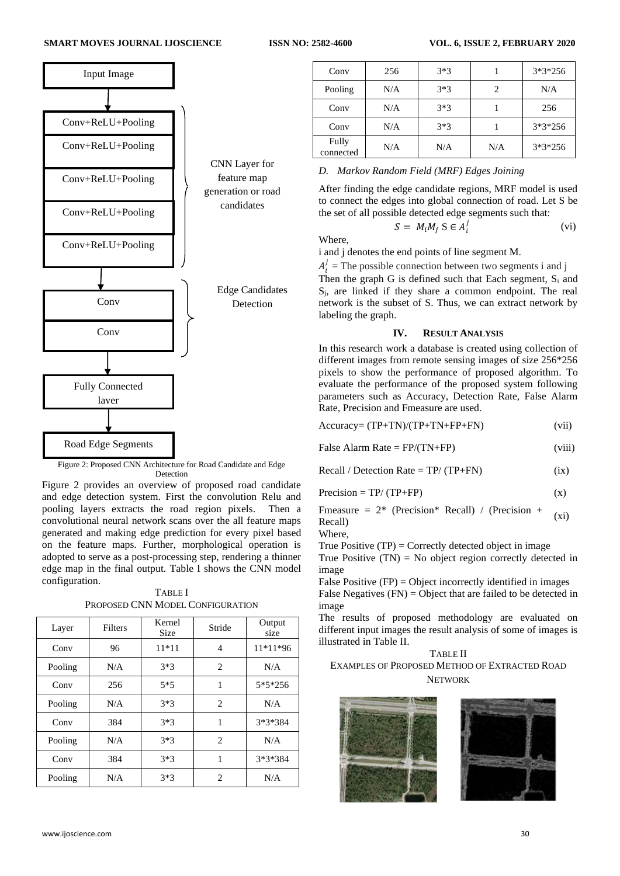

Figure 2: Proposed CNN Architecture for Road Candidate and Edge Detection

Figure 2 provides an overview of proposed road candidate and edge detection system. First the convolution Relu and pooling layers extracts the road region pixels. Then a convolutional neural network scans over the all feature maps generated and making edge prediction for every pixel based on the feature maps. Further, morphological operation is adopted to serve as a post-processing step, rendering a thinner edge map in the final output. Table I shows the CNN model configuration.

TABLE I PROPOSED CNN MODEL CONFIGURATION

| Layer   | Filters | Kernel<br><b>Size</b> | Stride         | Output<br>size |
|---------|---------|-----------------------|----------------|----------------|
| Conv    | 96      | $11*11$               | 4              | 11*11*96       |
| Pooling | N/A     | $3*3$                 | 2              | N/A            |
| Conv    | 256     | $5*5$                 | 1              | $5*5*256$      |
| Pooling | N/A     | $3*3$                 | $\overline{c}$ | N/A            |
| Conv    | 384     | $3*3$                 | 1              | 3*3*384        |
| Pooling | N/A     | $3*3$                 | $\overline{c}$ | N/A            |
| Conv    | 384     | $3*3$                 | 1              | 3*3*384        |
| Pooling | N/A     | $3*3$                 | $\overline{c}$ | N/A            |

| Conv               | 256 | $3*3$ |     | $3*3*256$ |
|--------------------|-----|-------|-----|-----------|
| Pooling            | N/A | $3*3$ | 2   | N/A       |
| Conv               | N/A | $3*3$ |     | 256       |
| Conv               | N/A | $3*3$ |     | $3*3*256$ |
| Fully<br>connected | N/A | N/A   | N/A | $3*3*256$ |

## *D. Markov Random Field (MRF) Edges Joining*

After finding the edge candidate regions, MRF model is used to connect the edges into global connection of road. Let S be the set of all possible detected edge segments such that:

$$
S = M_i M_j S \in A_i^j
$$
 Where.

i and j denotes the end points of line segment M.

 $A_i^j$  = The possible connection between two segments i and j Then the graph G is defined such that Each segment,  $S_i$  and

Sj, are linked if they share a common endpoint. The real network is the subset of S. Thus, we can extract network by labeling the graph.

## **IV. RESULT ANALYSIS**

In this research work a database is created using collection of different images from remote sensing images of size 256\*256 pixels to show the performance of proposed algorithm. To evaluate the performance of the proposed system following parameters such as Accuracy, Detection Rate, False Alarm Rate, Precision and Fmeasure are used.

| $Accuracy = (TP + TN)/(TP + TN + FP + FN)$ | (vii) |
|--------------------------------------------|-------|
|--------------------------------------------|-------|

| False Alarm Rate = $FP/(TN+FP)$ | (viii) |  |
|---------------------------------|--------|--|
|                                 |        |  |

 $Recall / Detection Rate = TP / (TP + FN)$  (ix)

 $Precision = TP/(TP+FP)$  (x)

Fmeasure =  $2^*$  (Precision\* Recall) / (Precision + (xi)<br>Recall)

Where,

True Positive  $(TP) =$  Correctly detected object in image

True Positive  $(TN) = No$  object region correctly detected in image

False Positive  $(FP) =$ Object incorrectly identified in images False Negatives (FN) = Object that are failed to be detected in image

The results of proposed methodology are evaluated on different input images the result analysis of some of images is illustrated in Table II.

## TABLE II EXAMPLES OF PROPOSED METHOD OF EXTRACTED ROAD **NETWORK**





(vi)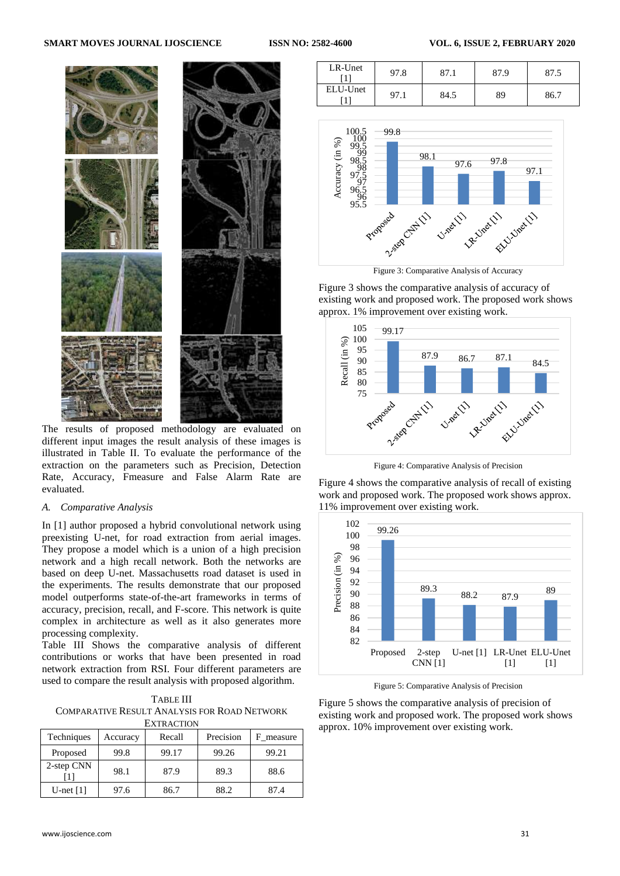#### **SMART MOVES JOURNAL IJOSCIENCE ISSN NO: 2582-4600 VOL. 6, ISSUE 2, FEBRUARY 2020**



The results of proposed methodology are evaluated on different input images the result analysis of these images is illustrated in Table II. To evaluate the performance of the extraction on the parameters such as Precision, Detection Rate, Accuracy, Fmeasure and False Alarm Rate are evaluated.

## *A. Comparative Analysis*

In [1] author proposed a hybrid convolutional network using preexisting U-net, for road extraction from aerial images. They propose a model which is a union of a high precision network and a high recall network. Both the networks are based on deep U-net. Massachusetts road dataset is used in the experiments. The results demonstrate that our proposed model outperforms state-of-the-art frameworks in terms of accuracy, precision, recall, and F-score. This network is quite complex in architecture as well as it also generates more processing complexity.

Table III Shows the comparative analysis of different contributions or works that have been presented in road network extraction from RSI. Four different parameters are used to compare the result analysis with proposed algorithm.

TABLE III COMPARATIVE RESULT ANALYSIS FOR ROAD NETWORK EXTRACTION

| Techniques  | Accuracy | Recall | Precision | F measure |
|-------------|----------|--------|-----------|-----------|
| Proposed    | 99.8     | 99.17  | 99.26     | 99.21     |
| 2-step CNN  | 98.1     | 87.9   | 89.3      | 88.6      |
| U-net $[1]$ | 97.6     | 86.7   | 88.2      | 87.4      |

| LR-Unet  | 97.8 | 87.1 | 87.9 |      |
|----------|------|------|------|------|
| ELU-Unet | 97.1 | 84.5 | 89   | 86.7 |



Figure 3 shows the comparative analysis of accuracy of existing work and proposed work. The proposed work shows approx. 1% improvement over existing work.



Figure 4: Comparative Analysis of Precision

Figure 4 shows the comparative analysis of recall of existing work and proposed work. The proposed work shows approx. 11% improvement over existing work.



Figure 5: Comparative Analysis of Precision

Figure 5 shows the comparative analysis of precision of existing work and proposed work. The proposed work shows approx. 10% improvement over existing work.